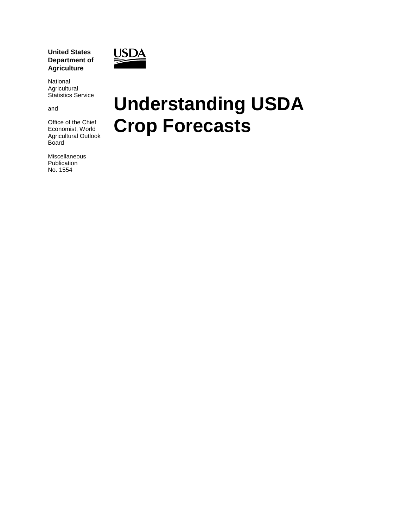**United States Department of Agriculture**



National Agricultural Statistics Service

and

Office of the Chief Economist, World Agricultural Outlook Board

Miscellaneous Publication No. 1554

# **Understanding USDA Crop Forecasts**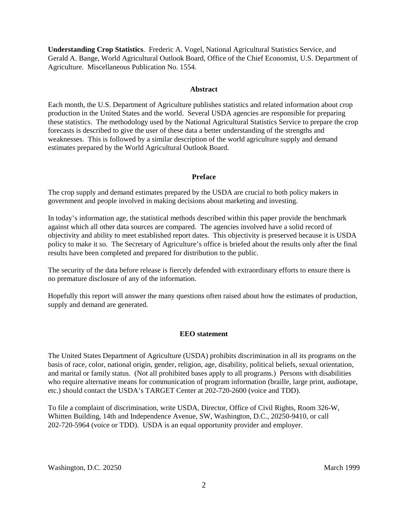**Understanding Crop Statistics**. Frederic A. Vogel, National Agricultural Statistics Service, and Gerald A. Bange, World Agricultural Outlook Board, Office of the Chief Economist, U.S. Department of Agriculture. Miscellaneous Publication No. 1554.

#### **Abstract**

Each month, the U.S. Department of Agriculture publishes statistics and related information about crop production in the United States and the world. Several USDA agencies are responsible for preparing these statistics. The methodology used by the National Agricultural Statistics Service to prepare the crop forecasts is described to give the user of these data a better understanding of the strengths and weaknesses. This is followed by a similar description of the world agriculture supply and demand estimates prepared by the World Agricultural Outlook Board.

#### **Preface**

The crop supply and demand estimates prepared by the USDA are crucial to both policy makers in government and people involved in making decisions about marketing and investing.

In today's information age, the statistical methods described within this paper provide the benchmark against which all other data sources are compared. The agencies involved have a solid record of objectivity and ability to meet established report dates. This objectivity is preserved because it is USDA policy to make it so. The Secretary of Agriculture's office is briefed about the results only after the final results have been completed and prepared for distribution to the public.

The security of the data before release is fiercely defended with extraordinary efforts to ensure there is no premature disclosure of any of the information.

Hopefully this report will answer the many questions often raised about how the estimates of production, supply and demand are generated.

#### **EEO statement**

The United States Department of Agriculture (USDA) prohibits discrimination in all its programs on the basis of race, color, national origin, gender, religion, age, disability, political beliefs, sexual orientation, and marital or family status. (Not all prohibited bases apply to all programs.) Persons with disabilities who require alternative means for communication of program information (braille, large print, audiotape, etc.) should contact the USDA's TARGET Center at 202-720-2600 (voice and TDD).

To file a complaint of discrimination, write USDA, Director, Office of Civil Rights, Room 326-W, Whitten Building, 14th and Independence Avenue, SW, Washington, D.C., 20250-9410, or call 202-720-5964 (voice or TDD). USDA is an equal opportunity provider and employer.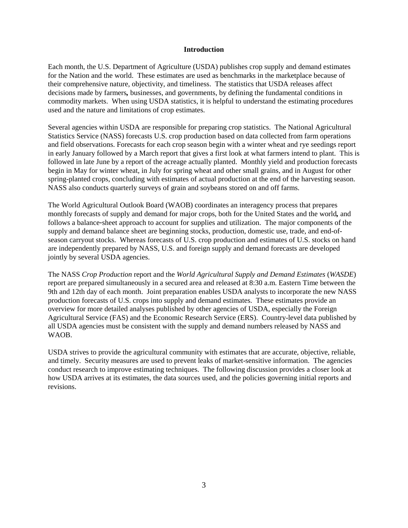#### **Introduction**

Each month, the U.S. Department of Agriculture (USDA) publishes crop supply and demand estimates for the Nation and the world. These estimates are used as benchmarks in the marketplace because of their comprehensive nature, objectivity, and timeliness. The statistics that USDA releases affect decisions made by farmers*,* businesses, and governments, by defining the fundamental conditions in commodity markets. When using USDA statistics, it is helpful to understand the estimating procedures used and the nature and limitations of crop estimates.

Several agencies within USDA are responsible for preparing crop statistics. The National Agricultural Statistics Service (NASS) forecasts U.S. crop production based on data collected from farm operations and field observations. Forecasts for each crop season begin with a winter wheat and rye seedings report in early January followed by a March report that gives a first look at what farmers intend to plant. This is followed in late June by a report of the acreage actually planted. Monthly yield and production forecasts begin in May for winter wheat, in July for spring wheat and other small grains, and in August for other spring-planted crops, concluding with estimates of actual production at the end of the harvesting season. NASS also conducts quarterly surveys of grain and soybeans stored on and off farms.

The World Agricultural Outlook Board (WAOB) coordinates an interagency process that prepares monthly forecasts of supply and demand for major crops, both for the United States and the world*,* and follows a balance*-*sheet approach to account for supplies and utilization. The major components of the supply and demand balance sheet are beginning stocks, production, domestic use, trade, and end-ofseason carryout stocks. Whereas forecasts of U.S. crop production and estimates of U.S. stocks on hand are independently prepared by NASS, U.S. and foreign supply and demand forecasts are developed jointly by several USDA agencies.

The NASS *Crop Production* report and the *World Agricultural Supply and Demand Estimates* (*WASDE*) report are prepared simultaneously in a secured area and released at 8:30 a.m. Eastern Time between the 9th and 12th day of each month. Joint preparation enables USDA analysts to incorporate the new NASS production forecasts of U.S. crops into supply and demand estimates. These estimates provide an overview for more detailed analyses published by other agencies of USDA, especially the Foreign Agricultural Service (FAS) and the Economic Research Service (ERS). Country-level data published by all USDA agencies must be consistent with the supply and demand numbers released by NASS and WAOB.

USDA strives to provide the agricultural community with estimates that are accurate, objective, reliable, and timely. Security measures are used to prevent leaks of market-sensitive information. The agencies conduct research to improve estimating techniques. The following discussion provides a closer look at how USDA arrives at its estimates, the data sources used, and the policies governing initial reports and revisions.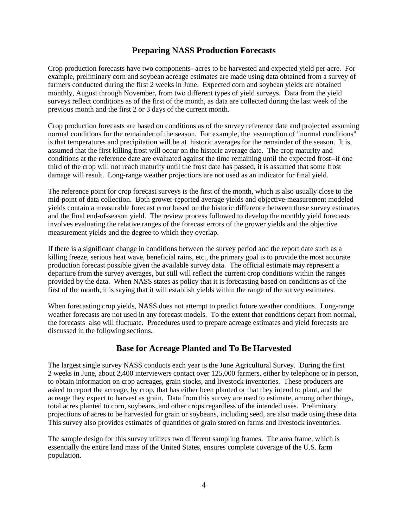## **Preparing NASS Production Forecasts**

Crop production forecasts have two components--acres to be harvested and expected yield per acre. For example, preliminary corn and soybean acreage estimates are made using data obtained from a survey of farmers conducted during the first 2 weeks in June. Expected corn and soybean yields are obtained monthly, August through November, from two different types of yield surveys. Data from the yield surveys reflect conditions as of the first of the month, as data are collected during the last week of the previous month and the first 2 or 3 days of the current month.

Crop production forecasts are based on conditions as of the survey reference date and projected assuming normal conditions for the remainder of the season. For example, the assumption of "normal conditions" is that temperatures and precipitation will be at historic averages for the remainder of the season. It is assumed that the first killing frost will occur on the historic average date. The crop maturity and conditions at the reference date are evaluated against the time remaining until the expected frost--if one third of the crop will not reach maturity until the frost date has passed, it is assumed that some frost damage will result. Long-range weather projections are not used as an indicator for final yield.

The reference point for crop forecast surveys is the first of the month, which is also usually close to the mid-point of data collection. Both grower-reported average yields and objective-measurement modeled yields contain a measurable forecast error based on the historic difference between these survey estimates and the final end-of-season yield. The review process followed to develop the monthly yield forecasts involves evaluating the relative ranges of the forecast errors of the grower yields and the objective measurement yields and the degree to which they overlap.

If there is a significant change in conditions between the survey period and the report date such as a killing freeze, serious heat wave, beneficial rains, etc., the primary goal is to provide the most accurate production forecast possible given the available survey data. The official estimate may represent a departure from the survey averages, but still will reflect the current crop conditions within the ranges provided by the data. When NASS states as policy that it is forecasting based on conditions as of the first of the month, it is saying that it will establish yields within the range of the survey estimates.

When forecasting crop yields, NASS does not attempt to predict future weather conditions. Long-range weather forecasts are not used in any forecast models. To the extent that conditions depart from normal, the forecasts also will fluctuate. Procedures used to prepare acreage estimates and yield forecasts are discussed in the following sections.

#### **Base for Acreage Planted and To Be Harvested**

The largest single survey NASS conducts each year is the June Agricultural Survey. During the first 2 weeks in June, about 2,400 interviewers contact over 125,000 farmers, either by telephone or in person, to obtain information on crop acreages, grain stocks, and livestock inventories. These producers are asked to report the acreage, by crop, that has either been planted or that they intend to plant, and the acreage they expect to harvest as grain. Data from this survey are used to estimate, among other things, total acres planted to corn, soybeans, and other crops regardless of the intended uses. Preliminary projections of acres to be harvested for grain or soybeans, including seed, are also made using these data. This survey also provides estimates of quantities of grain stored on farms and livestock inventories.

The sample design for this survey utilizes two different sampling frames. The area frame, which is essentially the entire land mass of the United States, ensures complete coverage of the U.S. farm population.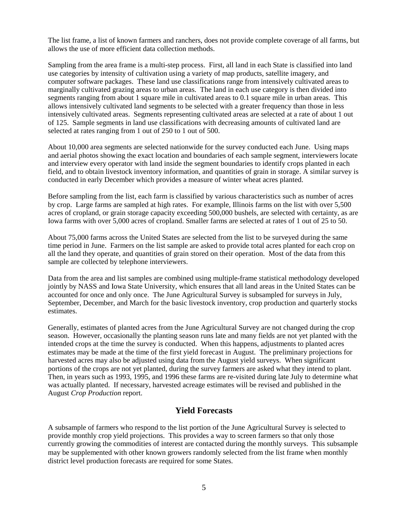The list frame, a list of known farmers and ranchers, does not provide complete coverage of all farms, but allows the use of more efficient data collection methods.

Sampling from the area frame is a multi-step process. First, all land in each State is classified into land use categories by intensity of cultivation using a variety of map products, satellite imagery, and computer software packages. These land use classifications range from intensively cultivated areas to marginally cultivated grazing areas to urban areas. The land in each use category is then divided into segments ranging from about 1 square mile in cultivated areas to 0.1 square mile in urban areas. This allows intensively cultivated land segments to be selected with a greater frequency than those in less intensively cultivated areas. Segments representing cultivated areas are selected at a rate of about 1 out of 125. Sample segments in land use classifications with decreasing amounts of cultivated land are selected at rates ranging from 1 out of 250 to 1 out of 500.

About 10,000 area segments are selected nationwide for the survey conducted each June. Using maps and aerial photos showing the exact location and boundaries of each sample segment, interviewers locate and interview every operator with land inside the segment boundaries to identify crops planted in each field, and to obtain livestock inventory information, and quantities of grain in storage. A similar survey is conducted in early December which provides a measure of winter wheat acres planted.

Before sampling from the list, each farm is classified by various characteristics such as number of acres by crop. Large farms are sampled at high rates. For example, Illinois farms on the list with over 5,500 acres of cropland, or grain storage capacity exceeding 500,000 bushels, are selected with certainty, as are Iowa farms with over 5,000 acres of cropland. Smaller farms are selected at rates of 1 out of 25 to 50.

About 75,000 farms across the United States are selected from the list to be surveyed during the same time period in June. Farmers on the list sample are asked to provide total acres planted for each crop on all the land they operate, and quantities of grain stored on their operation. Most of the data from this sample are collected by telephone interviewers.

Data from the area and list samples are combined using multiple-frame statistical methodology developed jointly by NASS and Iowa State University, which ensures that all land areas in the United States can be accounted for once and only once. The June Agricultural Survey is subsampled for surveys in July, September, December, and March for the basic livestock inventory, crop production and quarterly stocks estimates.

Generally, estimates of planted acres from the June Agricultural Survey are not changed during the crop season. However, occasionally the planting season runs late and many fields are not yet planted with the intended crops at the time the survey is conducted. When this happens, adjustments to planted acres estimates may be made at the time of the first yield forecast in August. The preliminary projections for harvested acres may also be adjusted using data from the August yield surveys. When significant portions of the crops are not yet planted, during the survey farmers are asked what they intend to plant. Then, in years such as 1993, 1995, and 1996 these farms are re-visited during late July to determine what was actually planted. If necessary, harvested acreage estimates will be revised and published in the August *Crop Production* report.

### **Yield Forecasts**

A subsample of farmers who respond to the list portion of the June Agricultural Survey is selected to provide monthly crop yield projections. This provides a way to screen farmers so that only those currently growing the commodities of interest are contacted during the monthly surveys. This subsample may be supplemented with other known growers randomly selected from the list frame when monthly district level production forecasts are required for some States.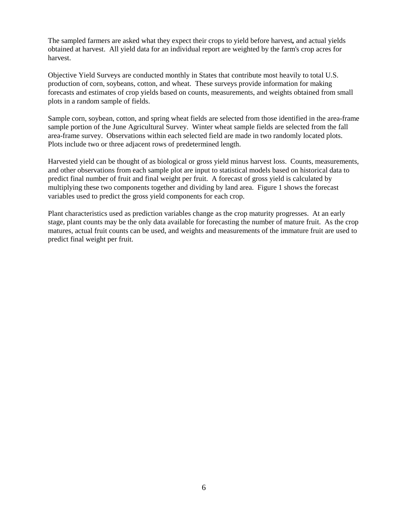The sampled farmers are asked what they expect their crops to yield before harvest*,* and actual yields obtained at harvest. All yield data for an individual report are weighted by the farm's crop acres for harvest.

Objective Yield Surveys are conducted monthly in States that contribute most heavily to total U.S. production of corn, soybeans, cotton, and wheat. These surveys provide information for making forecasts and estimates of crop yields based on counts, measurements, and weights obtained from small plots in a random sample of fields.

Sample corn, soybean, cotton, and spring wheat fields are selected from those identified in the area-frame sample portion of the June Agricultural Survey. Winter wheat sample fields are selected from the fall area-frame survey. Observations within each selected field are made in two randomly located plots. Plots include two or three adjacent rows of predetermined length.

Harvested yield can be thought of as biological or gross yield minus harvest loss. Counts, measurements, and other observations from each sample plot are input to statistical models based on historical data to predict final number of fruit and final weight per fruit. A forecast of gross yield is calculated by multiplying these two components together and dividing by land area. Figure 1 shows the forecast variables used to predict the gross yield components for each crop.

Plant characteristics used as prediction variables change as the crop maturity progresses. At an early stage, plant counts may be the only data available for forecasting the number of mature fruit. As the crop matures, actual fruit counts can be used, and weights and measurements of the immature fruit are used to predict final weight per fruit.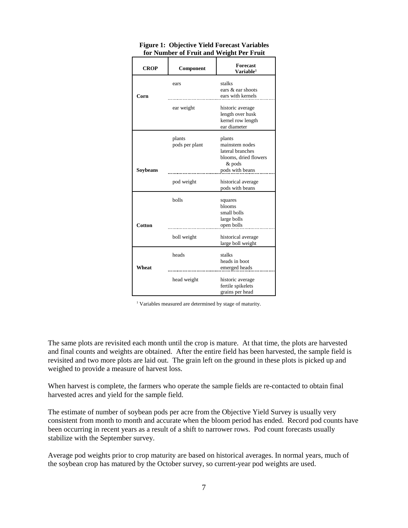| <b>CROP</b>     | Component                | Forecast<br>Variable <sup>1</sup>                                               |  |  |
|-----------------|--------------------------|---------------------------------------------------------------------------------|--|--|
| Corn            | ears                     | stalks<br>ears & ear shoots<br>ears with kernels                                |  |  |
|                 | ear weight               | historic average<br>length over husk<br>kernel row length<br>ear diameter       |  |  |
|                 | plants<br>pods per plant | plants<br>mainstem nodes<br>lateral branches<br>blooms, dried flowers<br>& pods |  |  |
| <b>Soybeans</b> | pod weight               | pods with beans<br>historical average<br>pods with beans                        |  |  |
|                 | bolls                    | squares<br>blooms<br>small bolls<br>large bolls                                 |  |  |
| Cotton          | boll weight              | open bolls<br>historical average<br>large boll weight                           |  |  |
| Wheat           | heads                    | stalks<br>heads in boot<br>emerged heads                                        |  |  |
|                 | head weight              | historic average<br>fertile spikelets<br>grains per head                        |  |  |

#### **Figure 1: Objective Yield Forecast Variables for Number of Fruit and Weight Per Fruit**

<sup>1</sup> Variables measured are determined by stage of maturity.

The same plots are revisited each month until the crop is mature. At that time, the plots are harvested and final counts and weights are obtained. After the entire field has been harvested, the sample field is revisited and two more plots are laid out. The grain left on the ground in these plots is picked up and weighed to provide a measure of harvest loss.

When harvest is complete, the farmers who operate the sample fields are re-contacted to obtain final harvested acres and yield for the sample field.

The estimate of number of soybean pods per acre from the Objective Yield Survey is usually very consistent from month to month and accurate when the bloom period has ended. Record pod counts have been occurring in recent years as a result of a shift to narrower rows. Pod count forecasts usually stabilize with the September survey.

Average pod weights prior to crop maturity are based on historical averages. In normal years, much of the soybean crop has matured by the October survey, so current-year pod weights are used.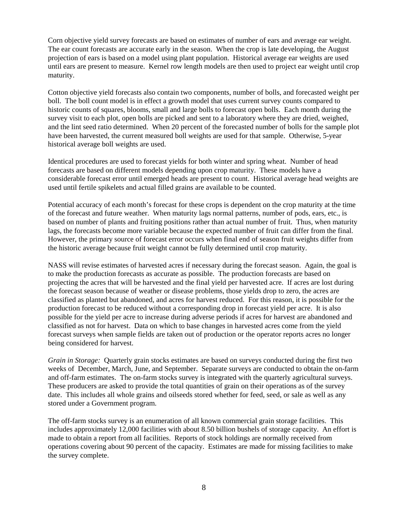Corn objective yield survey forecasts are based on estimates of number of ears and average ear weight. The ear count forecasts are accurate early in the season. When the crop is late developing, the August projection of ears is based on a model using plant population.Historical average ear weights are used until ears are present to measure. Kernel row length models are then used to project ear weight until crop maturity.

Cotton objective yield forecasts also contain two components, number of bolls, and forecasted weight per boll. The boll count model is in effect a growth model that uses current survey counts compared to historic counts of squares, blooms, small and large bolls to forecast open bolls. Each month during the survey visit to each plot, open bolls are picked and sent to a laboratory where they are dried, weighed, and the lint seed ratio determined. When 20 percent of the forecasted number of bolls for the sample plot have been harvested, the current measured boll weights are used for that sample. Otherwise, 5-year historical average boll weights are used.

Identical procedures are used to forecast yields for both winter and spring wheat. Number of head forecasts are based on different models depending upon crop maturity. These models have a considerable forecast error until emerged heads are present to count. Historical average head weights are used until fertile spikelets and actual filled grains are available to be counted.

Potential accuracy of each month's forecast for these crops is dependent on the crop maturity at the time of the forecast and future weather. When maturity lags normal patterns, number of pods, ears, etc., is based on number of plants and fruiting positions rather than actual number of fruit. Thus, when maturity lags, the forecasts become more variable because the expected number of fruit can differ from the final. However, the primary source of forecast error occurs when final end of season fruit weights differ from the historic average because fruit weight cannot be fully determined until crop maturity.

NASS will revise estimates of harvested acres if necessary during the forecast season. Again, the goal is to make the production forecasts as accurate as possible. The production forecasts are based on projecting the acres that will be harvested and the final yield per harvested acre. If acres are lost during the forecast season because of weather or disease problems, those yields drop to zero, the acres are classified as planted but abandoned, and acres for harvest reduced. For this reason, it is possible for the production forecast to be reduced without a corresponding drop in forecast yield per acre. It is also possible for the yield per acre to increase during adverse periods if acres for harvest are abandoned and classified as not for harvest. Data on which to base changes in harvested acres come from the yield forecast surveys when sample fields are taken out of production or the operator reports acres no longer being considered for harvest.

*Grain in Storage:* Quarterly grain stocks estimates are based on surveys conducted during the first two weeks of December, March, June, and September. Separate surveys are conducted to obtain the on-farm and off-farm estimates. The on-farm stocks survey is integrated with the quarterly agricultural surveys. These producers are asked to provide the total quantities of grain on their operations as of the survey date. This includes all whole grains and oilseeds stored whether for feed, seed, or sale as well as any stored under a Government program.

The off-farm stocks survey is an enumeration of all known commercial grain storage facilities. This includes approximately 12,000 facilities with about 8.50 billion bushels of storage capacity. An effort is made to obtain a report from all facilities. Reports of stock holdings are normally received from operations covering about 90 percent of the capacity. Estimates are made for missing facilities to make the survey complete.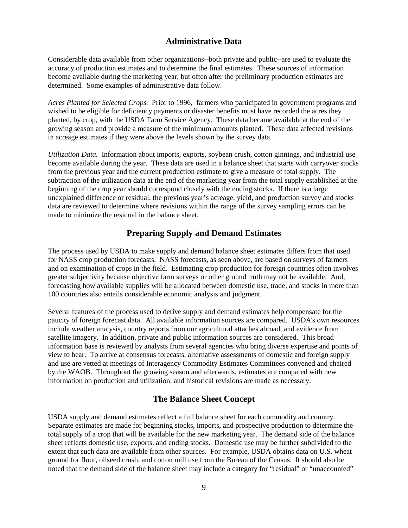### **Administrative Data**

Considerable data available from other organizations--both private and public--are used to evaluate the accuracy of production estimates and to determine the final estimates. These sources of information become available during the marketing year, but often after the preliminary production estimates are determined. Some examples of administrative data follow.

*Acres Planted for Selected Crops.* Prior to 1996, farmers who participated in government programs and wished to be eligible for deficiency payments or disaster benefits must have recorded the acres they planted, by crop, with the USDA Farm Service Agency. These data became available at the end of the growing season and provide a measure of the minimum amounts planted. These data affected revisions in acreage estimates if they were above the levels shown by the survey data.

*Utilization Data.* Information about imports, exports, soybean crush, cotton ginnings, and industrial use become available during the year. These data are used in a balance sheet that starts with carryover stocks from the previous year and the current production estimate to give a measure of total supply. The subtraction of the utilization data at the end of the marketing year from the total supply established at the beginning of the crop year should correspond closely with the ending stocks. If there is a large unexplained difference or residual, the previous year's acreage, yield, and production survey and stocks data are reviewed to determine where revisions within the range of the survey sampling errors can be made to minimize the residual in the balance sheet.

## **Preparing Supply and Demand Estimates**

The process used by USDA to make supply and demand balance sheet estimates differs from that used for NASS crop production forecasts. NASS forecasts, as seen above, are based on surveys of farmers and on examination of crops in the field. Estimating crop production for foreign countries often involves greater subjectivity because objective farm surveys or other ground truth may not be available. And, forecasting how available supplies will be allocated between domestic use, trade, and stocks in more than 100 countries also entails considerable economic analysis and judgment.

Several features of the process used to derive supply and demand estimates help compensate for the paucity of foreign forecast data. All available information sources are compared. USDA's own resources include weather analysis, country reports from our agricultural attaches abroad, and evidence from satellite imagery. In addition, private and public information sources are considered. This broad information base is reviewed by analysts from several agencies who bring diverse expertise and points of view to bear. To arrive at consensus forecasts, alternative assessments of domestic and foreign supply and use are vetted at meetings of Interagency Commodity Estimates Committees convened and chaired by the WAOB. Throughout the growing season and afterwards, estimates are compared with new information on production and utilization, and historical revisions are made as necessary.

## **The Balance Sheet Concept**

USDA supply and demand estimates reflect a full balance sheet for each commodity and country. Separate estimates are made for beginning stocks, imports, and prospective production to determine the total supply of a crop that will be available for the new marketing year. The demand side of the balance sheet reflects domestic use, exports, and ending stocks. Domestic use may be further subdivided to the extent that such data are available from other sources. For example, USDA obtains data on U.S. wheat ground for flour, oilseed crush, and cotton mill use from the Bureau of the Census. It should also be noted that the demand side of the balance sheet may include a category for "residual" or "unaccounted"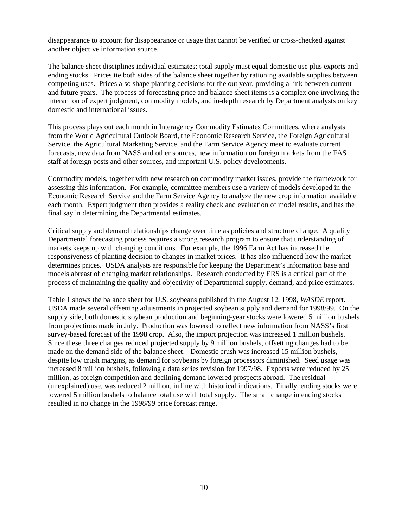disappearance to account for disappearance or usage that cannot be verified or cross-checked against another objective information source.

The balance sheet disciplines individual estimates: total supply must equal domestic use plus exports and ending stocks. Prices tie both sides of the balance sheet together by rationing available supplies between competing uses. Prices also shape planting decisions for the out year, providing a link between current and future years. The process of forecasting price and balance sheet items is a complex one involving the interaction of expert judgment, commodity models, and in-depth research by Department analysts on key domestic and international issues.

This process plays out each month in Interagency Commodity Estimates Committees, where analysts from the World Agricultural Outlook Board, the Economic Research Service, the Foreign Agricultural Service, the Agricultural Marketing Service, and the Farm Service Agency meet to evaluate current forecasts, new data from NASS and other sources, new information on foreign markets from the FAS staff at foreign posts and other sources, and important U.S. policy developments.

Commodity models, together with new research on commodity market issues, provide the framework for assessing this information. For example, committee members use a variety of models developed in the Economic Research Service and the Farm Service Agency to analyze the new crop information available each month. Expert judgment then provides a reality check and evaluation of model results, and has the final say in determining the Departmental estimates.

Critical supply and demand relationships change over time as policies and structure change. A quality Departmental forecasting process requires a strong research program to ensure that understanding of markets keeps up with changing conditions. For example, the 1996 Farm Act has increased the responsiveness of planting decision to changes in market prices. It has also influenced how the market determines prices. USDA analysts are responsible for keeping the Department's information base and models abreast of changing market relationships. Research conducted by ERS is a critical part of the process of maintaining the quality and objectivity of Departmental supply, demand, and price estimates.

Table 1 shows the balance sheet for U.S. soybeans published in the August 12, 1998, *WASDE* report. USDA made several offsetting adjustments in projected soybean supply and demand for 1998/99. On the supply side, both domestic soybean production and beginning-year stocks were lowered 5 million bushels from projections made in July. Production was lowered to reflect new information from NASS's first survey-based forecast of the 1998 crop. Also, the import projection was increased 1 million bushels. Since these three changes reduced projected supply by 9 million bushels, offsetting changes had to be made on the demand side of the balance sheet. Domestic crush was increased 15 million bushels, despite low crush margins, as demand for soybeans by foreign processors diminished. Seed usage was increased 8 million bushels, following a data series revision for 1997/98. Exports were reduced by 25 million, as foreign competition and declining demand lowered prospects abroad. The residual (unexplained) use, was reduced 2 million, in line with historical indications. Finally, ending stocks were lowered 5 million bushels to balance total use with total supply. The small change in ending stocks resulted in no change in the 1998/99 price forecast range.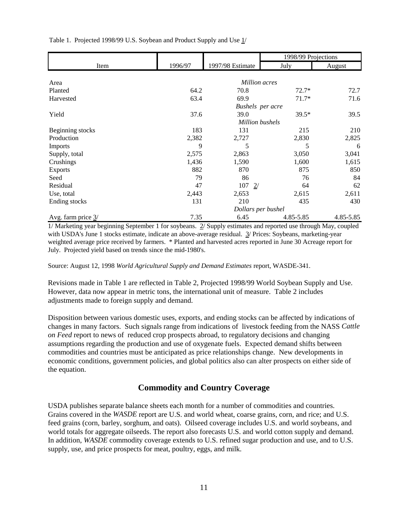Table 1. Projected 1998/99 U.S. Soybean and Product Supply and Use  $1/$ 

|                               |                    |                  | 1998/99 Projections |           |  |  |  |  |
|-------------------------------|--------------------|------------------|---------------------|-----------|--|--|--|--|
| Item                          | 1996/97            | 1997/98 Estimate | July                | August    |  |  |  |  |
|                               |                    |                  |                     |           |  |  |  |  |
| Area                          |                    | Million acres    |                     |           |  |  |  |  |
| Planted                       | 64.2               | 70.8             | $72.7*$             | 72.7      |  |  |  |  |
| Harvested                     | 63.4               | 69.9             | $71.7*$             | 71.6      |  |  |  |  |
|                               | Bushels per acre   |                  |                     |           |  |  |  |  |
| Yield                         | 37.6               | 39.0             | 39.5*               | 39.5      |  |  |  |  |
|                               | Million bushels    |                  |                     |           |  |  |  |  |
| Beginning stocks              | 183                | 131              | 215                 | 210       |  |  |  |  |
| Production                    | 2,382              | 2,727            | 2,830               | 2,825     |  |  |  |  |
| Imports                       | 9                  | 5                | 5                   | 6         |  |  |  |  |
| Supply, total                 | 2,575              | 2,863            | 3,050               | 3,041     |  |  |  |  |
| Crushings                     | 1,436              | 1,590            | 1,600               | 1,615     |  |  |  |  |
| <b>Exports</b>                | 882                | 870              | 875                 | 850       |  |  |  |  |
| Seed                          | 79                 | 86               | 76                  | 84        |  |  |  |  |
| Residual                      | 47                 | 107<br>2/        | 64                  | 62        |  |  |  |  |
| Use, total                    | 2,443              | 2,653            | 2,615               | 2,611     |  |  |  |  |
| Ending stocks                 | 131                | 210              | 435                 | 430       |  |  |  |  |
|                               | Dollars per bushel |                  |                     |           |  |  |  |  |
| Avg. farm price $\frac{3}{2}$ | 7.35               | 6.45             | 4.85-5.85           | 4.85-5.85 |  |  |  |  |

1/ Marketing year beginning September 1 for soybeans. 2/ Supply estimates and reported use through May, coupled with USDA's June 1 stocks estimate, indicate an above-average residual. 3/ Prices: Soybeans, marketing-year weighted average price received by farmers. \* Planted and harvested acres reported in June 30 Acreage report for July. Projected yield based on trends since the mid-1980's.

Source: August 12, 1998 *World Agricultural Supply and Demand Estimates* report, WASDE-341.

Revisions made in Table 1 are reflected in Table 2, Projected 1998/99 World Soybean Supply and Use. However, data now appear in metric tons, the international unit of measure. Table 2 includes adjustments made to foreign supply and demand.

Disposition between various domestic uses, exports, and ending stocks can be affected by indications of changes in many factors. Such signals range from indications of livestock feeding from the NASS *Cattle on Feed* report to news of reduced crop prospects abroad, to regulatory decisions and changing assumptions regarding the production and use of oxygenate fuels. Expected demand shifts between commodities and countries must be anticipated as price relationships change. New developments in economic conditions, government policies, and global politics also can alter prospects on either side of the equation.

# **Commodity and Country Coverage**

USDA publishes separate balance sheets each month for a number of commodities and countries. Grains covered in the *WASDE* report are U.S. and world wheat, coarse grains, corn, and rice; and U.S. feed grains (corn, barley, sorghum, and oats). Oilseed coverage includes U.S. and world soybeans, and world totals for aggregate oilseeds. The report also forecasts U.S. and world cotton supply and demand. In addition, *WASDE* commodity coverage extends to U.S. refined sugar production and use, and to U.S. supply, use, and price prospects for meat, poultry, eggs, and milk.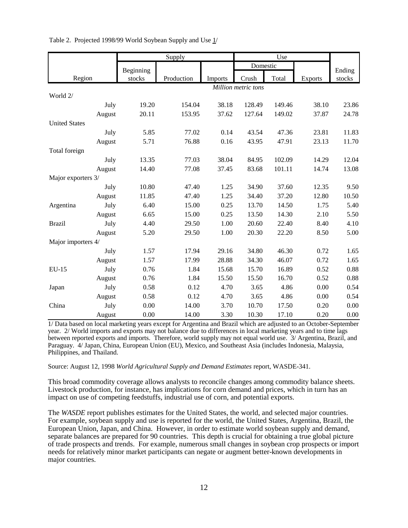|                      |        | Supply              |            |         | Use      |        |                |        |
|----------------------|--------|---------------------|------------|---------|----------|--------|----------------|--------|
|                      |        | Beginning           |            |         | Domestic |        |                | Ending |
| Region               |        | stocks              | Production | Imports | Crush    | Total  | <b>Exports</b> | stocks |
|                      |        | Million metric tons |            |         |          |        |                |        |
| World 2/             |        |                     |            |         |          |        |                |        |
|                      | July   | 19.20               | 154.04     | 38.18   | 128.49   | 149.46 | 38.10          | 23.86  |
|                      | August | 20.11               | 153.95     | 37.62   | 127.64   | 149.02 | 37.87          | 24.78  |
| <b>United States</b> |        |                     |            |         |          |        |                |        |
|                      | July   | 5.85                | 77.02      | 0.14    | 43.54    | 47.36  | 23.81          | 11.83  |
|                      | August | 5.71                | 76.88      | 0.16    | 43.95    | 47.91  | 23.13          | 11.70  |
| Total foreign        |        |                     |            |         |          |        |                |        |
|                      | July   | 13.35               | 77.03      | 38.04   | 84.95    | 102.09 | 14.29          | 12.04  |
|                      | August | 14.40               | 77.08      | 37.45   | 83.68    | 101.11 | 14.74          | 13.08  |
| Major exporters 3/   |        |                     |            |         |          |        |                |        |
|                      | July   | 10.80               | 47.40      | 1.25    | 34.90    | 37.60  | 12.35          | 9.50   |
|                      | August | 11.85               | 47.40      | 1.25    | 34.40    | 37.20  | 12.80          | 10.50  |
| Argentina            | July   | 6.40                | 15.00      | 0.25    | 13.70    | 14.50  | 1.75           | 5.40   |
|                      | August | 6.65                | 15.00      | 0.25    | 13.50    | 14.30  | 2.10           | 5.50   |
| <b>Brazil</b>        | July   | 4.40                | 29.50      | 1.00    | 20.60    | 22.40  | 8.40           | 4.10   |
|                      | August | 5.20                | 29.50      | 1.00    | 20.30    | 22.20  | 8.50           | 5.00   |
| Major importers 4/   |        |                     |            |         |          |        |                |        |
|                      | July   | 1.57                | 17.94      | 29.16   | 34.80    | 46.30  | 0.72           | 1.65   |
|                      | August | 1.57                | 17.99      | 28.88   | 34.30    | 46.07  | 0.72           | 1.65   |
| $EU-15$              | July   | 0.76                | 1.84       | 15.68   | 15.70    | 16.89  | 0.52           | 0.88   |
|                      | August | 0.76                | 1.84       | 15.50   | 15.50    | 16.70  | 0.52           | 0.88   |
| Japan                | July   | 0.58                | 0.12       | 4.70    | 3.65     | 4.86   | 0.00           | 0.54   |
|                      | August | 0.58                | 0.12       | 4.70    | 3.65     | 4.86   | 0.00           | 0.54   |
| China                | July   | 0.00                | 14.00      | 3.70    | 10.70    | 17.50  | 0.20           | 0.00   |
|                      | August | 0.00                | 14.00      | 3.30    | 10.30    | 17.10  | 0.20           | 0.00   |

Table 2. Projected 1998/99 World Soybean Supply and Use  $1/$ 

1/ Data based on local marketing years except for Argentina and Brazil which are adjusted to an October-September year. 2/ World imports and exports may not balance due to differences in local marketing years and to time lags between reported exports and imports. Therefore, world supply may not equal world use. 3/ Argentina, Brazil, and Paraguay. 4/ Japan, China, European Union (EU), Mexico, and Southeast Asia (includes Indonesia, Malaysia, Philippines, and Thailand.

Source: August 12, 1998 *World Agricultural Supply and Demand Estimates* report, WASDE-341.

This broad commodity coverage allows analysts to reconcile changes among commodity balance sheets. Livestock production, for instance, has implications for corn demand and prices, which in turn has an impact on use of competing feedstuffs, industrial use of corn, and potential exports.

The *WASDE* report publishes estimates for the United States, the world, and selected major countries. For example, soybean supply and use is reported for the world, the United States, Argentina, Brazil, the European Union, Japan, and China. However, in order to estimate world soybean supply and demand, separate balances are prepared for 90 countries. This depth is crucial for obtaining a true global picture of trade prospects and trends. For example, numerous small changes in soybean crop prospects or import needs for relatively minor market participants can negate or augment better-known developments in major countries.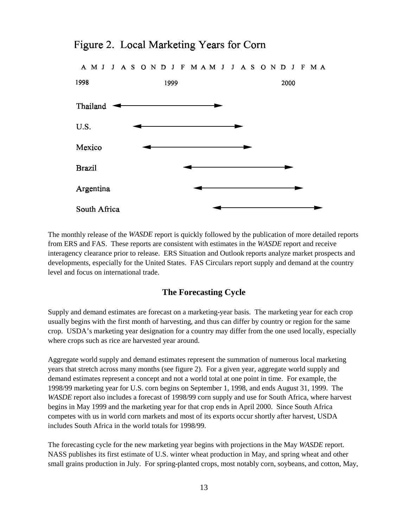

# Figure 2. Local Marketing Years for Corn

The monthly release of the *WASDE* report is quickly followed by the publication of more detailed reports from ERS and FAS. These reports are consistent with estimates in the *WASDE* report and receive interagency clearance prior to release. ERS Situation and Outlook reports analyze market prospects and developments, especially for the United States. FAS Circulars report supply and demand at the country level and focus on international trade.

#### **The Forecasting Cycle**

Supply and demand estimates are forecast on a marketing-year basis. The marketing year for each crop usually begins with the first month of harvesting, and thus can differ by country or region for the same crop. USDA's marketing year designation for a country may differ from the one used locally, especially where crops such as rice are harvested year around.

Aggregate world supply and demand estimates represent the summation of numerous local marketing years that stretch across many months (see figure 2). For a given year, aggregate world supply and demand estimates represent a concept and not a world total at one point in time. For example, the 1998/99 marketing year for U.S. corn begins on September 1, 1998, and ends August 31, 1999. The *WASDE* report also includes a forecast of 1998/99 corn supply and use for South Africa, where harvest begins in May 1999 and the marketing year for that crop ends in April 2000. Since South Africa competes with us in world corn markets and most of its exports occur shortly after harvest, USDA includes South Africa in the world totals for 1998/99.

The forecasting cycle for the new marketing year begins with projections in the May *WASDE* report. NASS publishes its first estimate of U.S. winter wheat production in May, and spring wheat and other small grains production in July. For spring-planted crops, most notably corn, soybeans, and cotton, May,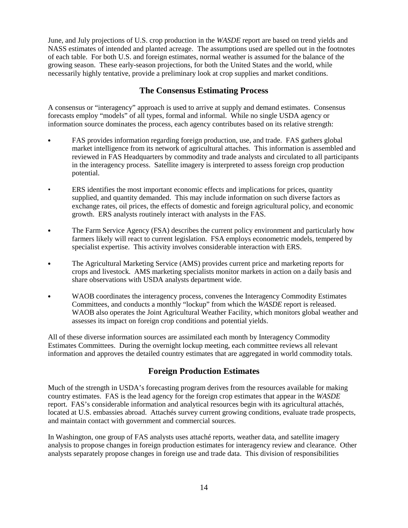June, and July projections of U.S. crop production in the *WASDE* report are based on trend yields and NASS estimates of intended and planted acreage. The assumptions used are spelled out in the footnotes of each table. For both U.S. and foreign estimates, normal weather is assumed for the balance of the growing season. These early-season projections, for both the United States and the world, while necessarily highly tentative, provide a preliminary look at crop supplies and market conditions.

## **The Consensus Estimating Process**

A consensus or "interagency" approach is used to arrive at supply and demand estimates. Consensus forecasts employ "models" of all types, formal and informal. While no single USDA agency or information source dominates the process, each agency contributes based on its relative strength:

- FAS provides information regarding foreign production, use, and trade. FAS gathers global market intelligence from its network of agricultural attaches. This information is assembled and reviewed in FAS Headquarters by commodity and trade analysts and circulated to all participants in the interagency process. Satellite imagery is interpreted to assess foreign crop production potential.
- ERS identifies the most important economic effects and implications for prices, quantity supplied, and quantity demanded. This may include information on such diverse factors as exchange rates, oil prices, the effects of domestic and foreign agricultural policy, and economic growth. ERS analysts routinely interact with analysts in the FAS.
- $\bullet$  The Farm Service Agency (FSA) describes the current policy environment and particularly how farmers likely will react to current legislation. FSA employs econometric models, tempered by specialist expertise. This activity involves considerable interaction with ERS.
- The Agricultural Marketing Service (AMS) provides current price and marketing reports for crops and livestock. AMS marketing specialists monitor markets in action on a daily basis and share observations with USDA analysts department wide.
- & WAOB coordinates the interagency process, convenes the Interagency Commodity Estimates Committees, and conducts a monthly "lockup" from which the *WASDE* report is released. WAOB also operates the Joint Agricultural Weather Facility, which monitors global weather and assesses its impact on foreign crop conditions and potential yields.

All of these diverse information sources are assimilated each month by Interagency Commodity Estimates Committees. During the overnight lockup meeting, each committee reviews all relevant information and approves the detailed country estimates that are aggregated in world commodity totals.

# **Foreign Production Estimates**

Much of the strength in USDA's forecasting program derives from the resources available for making country estimates. FAS is the lead agency for the foreign crop estimates that appear in the *WASDE* report. FAS's considerable information and analytical resources begin with its agricultural attachés, located at U.S. embassies abroad. Attachés survey current growing conditions, evaluate trade prospects, and maintain contact with government and commercial sources.

In Washington, one group of FAS analysts uses attaché reports, weather data, and satellite imagery analysis to propose changes in foreign production estimates for interagency review and clearance. Other analysts separately propose changes in foreign use and trade data. This division of responsibilities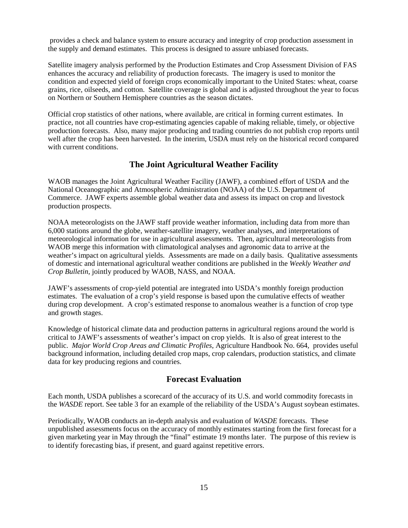provides a check and balance system to ensure accuracy and integrity of crop production assessment in the supply and demand estimates. This process is designed to assure unbiased forecasts.

Satellite imagery analysis performed by the Production Estimates and Crop Assessment Division of FAS enhances the accuracy and reliability of production forecasts. The imagery is used to monitor the condition and expected yield of foreign crops economically important to the United States: wheat, coarse grains, rice, oilseeds, and cotton. Satellite coverage is global and is adjusted throughout the year to focus on Northern or Southern Hemisphere countries as the season dictates.

Official crop statistics of other nations, where available, are critical in forming current estimates. In practice, not all countries have crop-estimating agencies capable of making reliable, timely, or objective production forecasts. Also, many major producing and trading countries do not publish crop reports until well after the crop has been harvested. In the interim, USDA must rely on the historical record compared with current conditions.

### **The Joint Agricultural Weather Facility**

WAOB manages the Joint Agricultural Weather Facility (JAWF), a combined effort of USDA and the National Oceanographic and Atmospheric Administration (NOAA) of the U.S. Department of Commerce. JAWF experts assemble global weather data and assess its impact on crop and livestock production prospects.

NOAA meteorologists on the JAWF staff provide weather information, including data from more than 6,000 stations around the globe, weather-satellite imagery, weather analyses, and interpretations of meteorological information for use in agricultural assessments. Then, agricultural meteorologists from WAOB merge this information with climatological analyses and agronomic data to arrive at the weather's impact on agricultural yields. Assessments are made on a daily basis. Qualitative assessments of domestic and international agricultural weather conditions are published in the *Weekly Weather and Crop Bulletin*, jointly produced by WAOB, NASS, and NOAA.

JAWF's assessments of crop-yield potential are integrated into USDA's monthly foreign production estimates. The evaluation of a crop's yield response is based upon the cumulative effects of weather during crop development. A crop's estimated response to anomalous weather is a function of crop type and growth stages.

Knowledge of historical climate data and production patterns in agricultural regions around the world is critical to JAWF's assessments of weather's impact on crop yields. It is also of great interest to the public. *Major World Crop Areas and Climatic Profiles*, Agriculture Handbook No. 664, provides useful background information, including detailed crop maps, crop calendars, production statistics, and climate data for key producing regions and countries.

#### **Forecast Evaluation**

Each month, USDA publishes a scorecard of the accuracy of its U.S. and world commodity forecasts in the *WASDE* report. See table 3 for an example of the reliability of the USDA's August soybean estimates.

Periodically, WAOB conducts an in-depth analysis and evaluation of *WASDE* forecasts. These unpublished assessments focus on the accuracy of monthly estimates starting from the first forecast for a given marketing year in May through the "final" estimate 19 months later. The purpose of this review is to identify forecasting bias, if present, and guard against repetitive errors.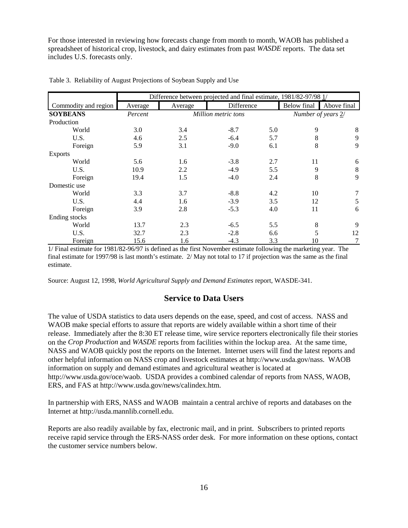For those interested in reviewing how forecasts change from month to month, WAOB has published a spreadsheet of historical crop, livestock, and dairy estimates from past *WASDE* reports. The data set includes U.S. forecasts only.

|                      | Difference between projected and final estimate, 1981/82-97/98 1/ |                     |            |     |                    |             |  |
|----------------------|-------------------------------------------------------------------|---------------------|------------|-----|--------------------|-------------|--|
| Commodity and region | Average                                                           | Average             | Difference |     | <b>Below</b> final | Above final |  |
| <b>SOYBEANS</b>      | Percent                                                           | Million metric tons |            |     | Number of years 2/ |             |  |
| Production           |                                                                   |                     |            |     |                    |             |  |
| World                | 3.0                                                               | 3.4                 | $-8.7$     | 5.0 | 9                  | 8           |  |
| U.S.                 | 4.6                                                               | 2.5                 | $-6.4$     | 5.7 | 8                  | 9           |  |
| Foreign              | 5.9                                                               | 3.1                 | $-9.0$     | 6.1 | 8                  | 9           |  |
| <b>Exports</b>       |                                                                   |                     |            |     |                    |             |  |
| World                | 5.6                                                               | 1.6                 | $-3.8$     | 2.7 | 11                 | 6           |  |
| U.S.                 | 10.9                                                              | 2.2                 | $-4.9$     | 5.5 | 9                  | 8           |  |
| Foreign              | 19.4                                                              | 1.5                 | $-4.0$     | 2.4 | 8                  | 9           |  |
| Domestic use         |                                                                   |                     |            |     |                    |             |  |
| World                | 3.3                                                               | 3.7                 | $-8.8$     | 4.2 | 10                 | 7           |  |
| U.S.                 | 4.4                                                               | 1.6                 | $-3.9$     | 3.5 | 12                 | 5           |  |
| Foreign              | 3.9                                                               | 2.8                 | $-5.3$     | 4.0 | 11                 | 6           |  |
| Ending stocks        |                                                                   |                     |            |     |                    |             |  |
| World                | 13.7                                                              | 2.3                 | $-6.5$     | 5.5 | $\,8\,$            | 9           |  |
| U.S.                 | 32.7                                                              | 2.3                 | $-2.8$     | 6.6 | 5                  | 12          |  |
| Foreign              | 15.6                                                              | 1.6                 | $-4.3$     | 3.3 | 10                 | $\tau$      |  |

Table 3. Reliability of August Projections of Soybean Supply and Use

1/ Final estimate for 1981/82-96/97 is defined as the first November estimate following the marketing year. The final estimate for 1997/98 is last month's estimate. 2/ May not total to 17 if projection was the same as the final estimate.

Source: August 12, 1998, *World Agricultural Supply and Demand Estimates* report, WASDE-341.

#### **Service to Data Users**

The value of USDA statistics to data users depends on the ease, speed, and cost of access. NASS and WAOB make special efforts to assure that reports are widely available within a short time of their release. Immediately after the 8:30 ET release time, wire service reporters electronically file their stories on the *Crop Production* and *WASDE* reports from facilities within the lockup area. At the same time, NASS and WAOB quickly post the reports on the Internet. Internet users will find the latest reports and other helpful information on NASS crop and livestock estimates at http://www.usda.gov/nass. WAOB information on supply and demand estimates and agricultural weather is located at http://www.usda.gov/oce/waob. USDA provides a combined calendar of reports from NASS, WAOB, ERS, and FAS at http://www.usda.gov/news/calindex.htm.

In partnership with ERS, NASS and WAOB maintain a central archive of reports and databases on the Internet at http://usda.mannlib.cornell.edu.

Reports are also readily available by fax, electronic mail, and in print. Subscribers to printed reports receive rapid service through the ERS-NASS order desk. For more information on these options, contact the customer service numbers below.